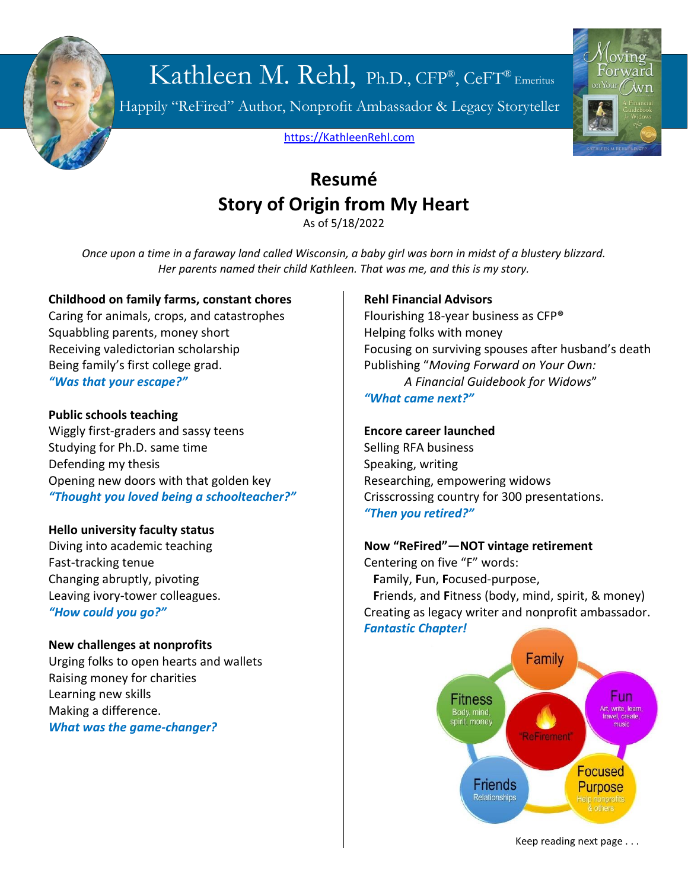

# Kathleen M. Rehl, Ph.D., CFP®, CeFT® Emeritus

Happily "ReFired" Author, Nonprofit Ambassador & Legacy Storyteller



[https://KathleenRehl.com](https://kathleenrehl.com/)

## **Resumé Story of Origin from My Heart**

As of 5/18/2022

*Once upon a time in a faraway land called Wisconsin, a baby girl was born in midst of a blustery blizzard. Her parents named their child Kathleen. That was me, and this is my story.*

## **Childhood on family farms, constant chores**

Caring for animals, crops, and catastrophes Squabbling parents, money short Receiving valedictorian scholarship Being family's first college grad. *"Was that your escape?"*

### **Public schools teaching**

Wiggly first-graders and sassy teens Studying for Ph.D. same time Defending my thesis Opening new doors with that golden key *"Thought you loved being a schoolteacher?"*

## **Hello university faculty status**

Diving into academic teaching Fast-tracking tenue Changing abruptly, pivoting Leaving ivory-tower colleagues. *"How could you go?"*

## **New challenges at nonprofits**

Urging folks to open hearts and wallets Raising money for charities Learning new skills Making a difference. *What was the game-changer?*

### **Rehl Financial Advisors**

Flourishing 18-year business as CFP® Helping folks with money Focusing on surviving spouses after husband's death Publishing "*Moving Forward on Your Own: A Financial Guidebook for Widows*" *"What came next?"*

### **Encore career launched**

Selling RFA business Speaking, writing Researching, empowering widows Crisscrossing country for 300 presentations. *"Then you retired?"*

## **Now "ReFired"—NOT vintage retirement**

Centering on five "F" words:  **F**amily, **F**un, **F**ocused-purpose,  **F**riends, and **F**itness (body, mind, spirit, & money) Creating as legacy writer and nonprofit ambassador. *Fantastic Chapter!*